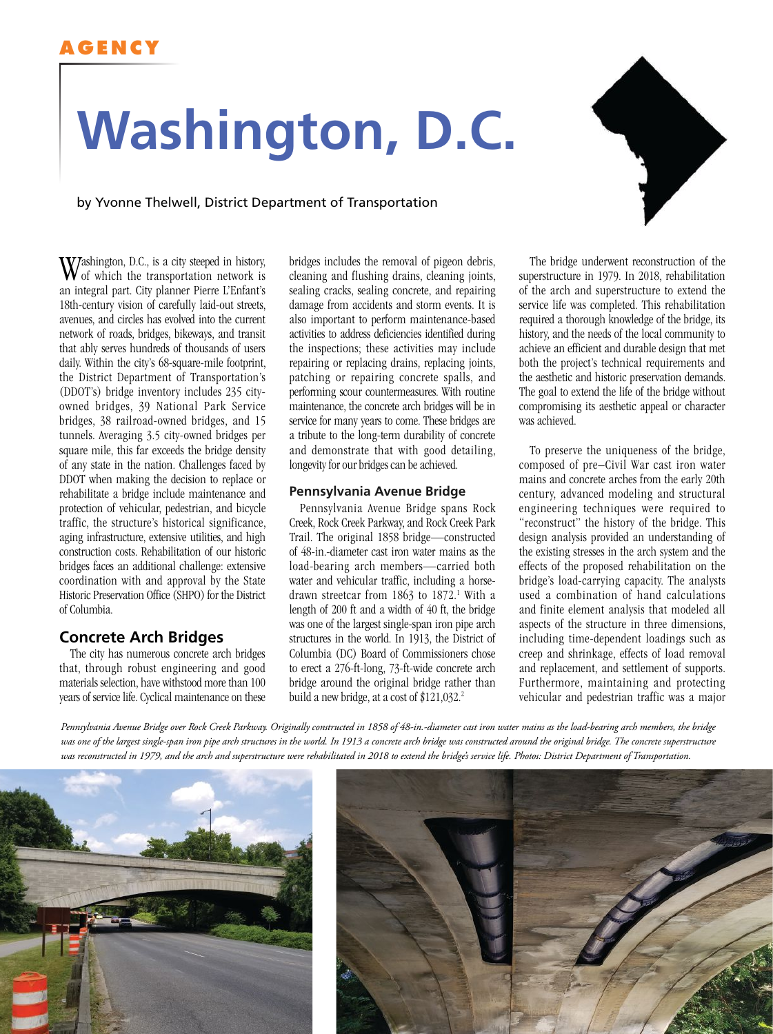# **AGENCY**

# **Washington, D.C.**

by Yvonne Thelwell, District Department of Transportation

Washington, D.C., is a city steeped in history, of which the transportation network is an integral part. City planner Pierre L'Enfant's 18th-century vision of carefully laid-out streets, avenues, and circles has evolved into the current network of roads, bridges, bikeways, and transit that ably serves hundreds of thousands of users daily. Within the city's 68-square-mile footprint, the District Department of Transportation's (DDOT's) bridge inventory includes 235 cityowned bridges, 39 National Park Service bridges, 38 railroad-owned bridges, and 15 tunnels. Averaging 3.5 city-owned bridges per square mile, this far exceeds the bridge density of any state in the nation. Challenges faced by DDOT when making the decision to replace or rehabilitate a bridge include maintenance and protection of vehicular, pedestrian, and bicycle traffic, the structure's historical significance, aging infrastructure, extensive utilities, and high construction costs. Rehabilitation of our historic bridges faces an additional challenge: extensive coordination with and approval by the State Historic Preservation Office (SHPO) for the District of Columbia.

# **Concrete Arch Bridges**

The city has numerous concrete arch bridges that, through robust engineering and good materials selection, have withstood more than 100 years of service life. Cyclical maintenance on these

bridges includes the removal of pigeon debris, cleaning and flushing drains, cleaning joints, sealing cracks, sealing concrete, and repairing damage from accidents and storm events. It is also important to perform maintenance-based activities to address deficiencies identified during the inspections; these activities may include repairing or replacing drains, replacing joints, patching or repairing concrete spalls, and performing scour countermeasures. With routine maintenance, the concrete arch bridges will be in service for many years to come. These bridges are a tribute to the long-term durability of concrete and demonstrate that with good detailing, longevity for our bridges can be achieved.

#### **Pennsylvania Avenue Bridge**

Pennsylvania Avenue Bridge spans Rock Creek, Rock Creek Parkway, and Rock Creek Park Trail. The original 1858 bridge—constructed of 48-in.-diameter cast iron water mains as the load-bearing arch members—carried both water and vehicular traffic, including a horsedrawn streetcar from 1863 to 1872.<sup>1</sup> With a length of 200 ft and a width of 40 ft, the bridge was one of the largest single-span iron pipe arch structures in the world. In 1913, the District of Columbia (DC) Board of Commissioners chose to erect a 276-ft-long, 73-ft-wide concrete arch bridge around the original bridge rather than build a new bridge, at a cost of  $$121,032.^2$ 

The bridge underwent reconstruction of the superstructure in 1979. In 2018, rehabilitation of the arch and superstructure to extend the service life was completed. This rehabilitation required a thorough knowledge of the bridge, its history, and the needs of the local community to achieve an efficient and durable design that met both the project's technical requirements and the aesthetic and historic preservation demands. The goal to extend the life of the bridge without compromising its aesthetic appeal or character was achieved.

To preserve the uniqueness of the bridge, composed of pre–Civil War cast iron water mains and concrete arches from the early 20th century, advanced modeling and structural engineering techniques were required to "reconstruct" the history of the bridge. This design analysis provided an understanding of the existing stresses in the arch system and the effects of the proposed rehabilitation on the bridge's load-carrying capacity. The analysts used a combination of hand calculations and finite element analysis that modeled all aspects of the structure in three dimensions, including time-dependent loadings such as creep and shrinkage, effects of load removal and replacement, and settlement of supports. Furthermore, maintaining and protecting vehicular and pedestrian traffic was a major

*Pennsylvania Avenue Bridge over Rock Creek Parkway. Originally constructed in 1858 of 48-in.-diameter cast iron water mains as the load-bearing arch members, the bridge*  was one of the largest single-span iron pipe arch structures in the world. In 1913 a concrete arch bridge was constructed around the original bridge. The concrete superstructure *was reconstructed in 1979, and the arch and superstructure were rehabilitated in 2018 to extend the bridge's service life. Photos: District Department of Transportation.*





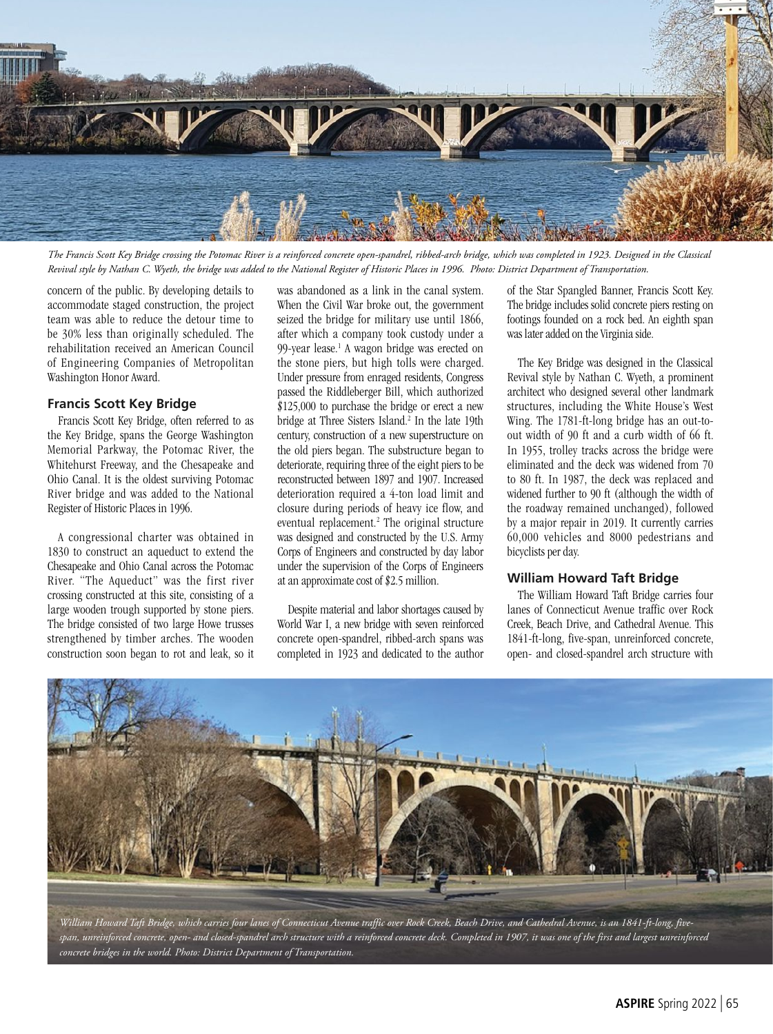

*The Francis Scott Key Bridge crossing the Potomac River is a reinforced concrete open-spandrel, ribbed-arch bridge, which was completed in 1923. Designed in the Classical Revival style by Nathan C. Wyeth, the bridge was added to the National Register of Historic Places in 1996. Photo: District Department of Transportation.*

concern of the public. By developing details to accommodate staged construction, the project team was able to reduce the detour time to be 30% less than originally scheduled. The rehabilitation received an American Council of Engineering Companies of Metropolitan Washington Honor Award.

#### **Francis Scott Key Bridge**

Francis Scott Key Bridge, often referred to as the Key Bridge, spans the George Washington Memorial Parkway, the Potomac River, the Whitehurst Freeway, and the Chesapeake and Ohio Canal. It is the oldest surviving Potomac River bridge and was added to the National Register of Historic Places in 1996.

A congressional charter was obtained in 1830 to construct an aqueduct to extend the Chesapeake and Ohio Canal across the Potomac River. "The Aqueduct" was the first river crossing constructed at this site, consisting of a large wooden trough supported by stone piers. The bridge consisted of two large Howe trusses strengthened by timber arches. The wooden construction soon began to rot and leak, so it

was abandoned as a link in the canal system. When the Civil War broke out, the government seized the bridge for military use until 1866, after which a company took custody under a 99-year lease.<sup>1</sup> A wagon bridge was erected on the stone piers, but high tolls were charged. Under pressure from enraged residents, Congress passed the Riddleberger Bill, which authorized \$125,000 to purchase the bridge or erect a new bridge at Three Sisters Island.<sup>2</sup> In the late 19th century, construction of a new superstructure on the old piers began. The substructure began to deteriorate, requiring three of the eight piers to be reconstructed between 1897 and 1907. Increased deterioration required a 4-ton load limit and closure during periods of heavy ice flow, and eventual replacement.<sup>2</sup> The original structure was designed and constructed by the U.S. Army Corps of Engineers and constructed by day labor under the supervision of the Corps of Engineers at an approximate cost of \$2.5 million.

Despite material and labor shortages caused by World War I, a new bridge with seven reinforced concrete open-spandrel, ribbed-arch spans was completed in 1923 and dedicated to the author

of the Star Spangled Banner, Francis Scott Key. The bridge includes solid concrete piers resting on footings founded on a rock bed. An eighth span was later added on the Virginia side.

The Key Bridge was designed in the Classical Revival style by Nathan C. Wyeth, a prominent architect who designed several other landmark structures, including the White House's West Wing. The 1781-ft-long bridge has an out-toout width of 90 ft and a curb width of 66 ft. In 1955, trolley tracks across the bridge were eliminated and the deck was widened from 70 to 80 ft. In 1987, the deck was replaced and widened further to 90 ft (although the width of the roadway remained unchanged), followed by a major repair in 2019. It currently carries 60,000 vehicles and 8000 pedestrians and bicyclists per day.

#### **William Howard Taft Bridge**

The William Howard Taft Bridge carries four lanes of Connecticut Avenue traffic over Rock Creek, Beach Drive, and Cathedral Avenue. This 1841-ft-long, five-span, unreinforced concrete, open- and closed-spandrel arch structure with



*William Howard Taft Bridge, which carries four lanes of Connecticut Avenue traffic over Rock Creek, Beach Drive, and Cathedral Avenue, is an 1841-ft-long, fivespan, unreinforced concrete, open- and closed-spandrel arch structure with a reinforced concrete deck. Completed in 1907, it was one of the first and largest unreinforced concrete bridges in the world. Photo: District Department of Transportation.*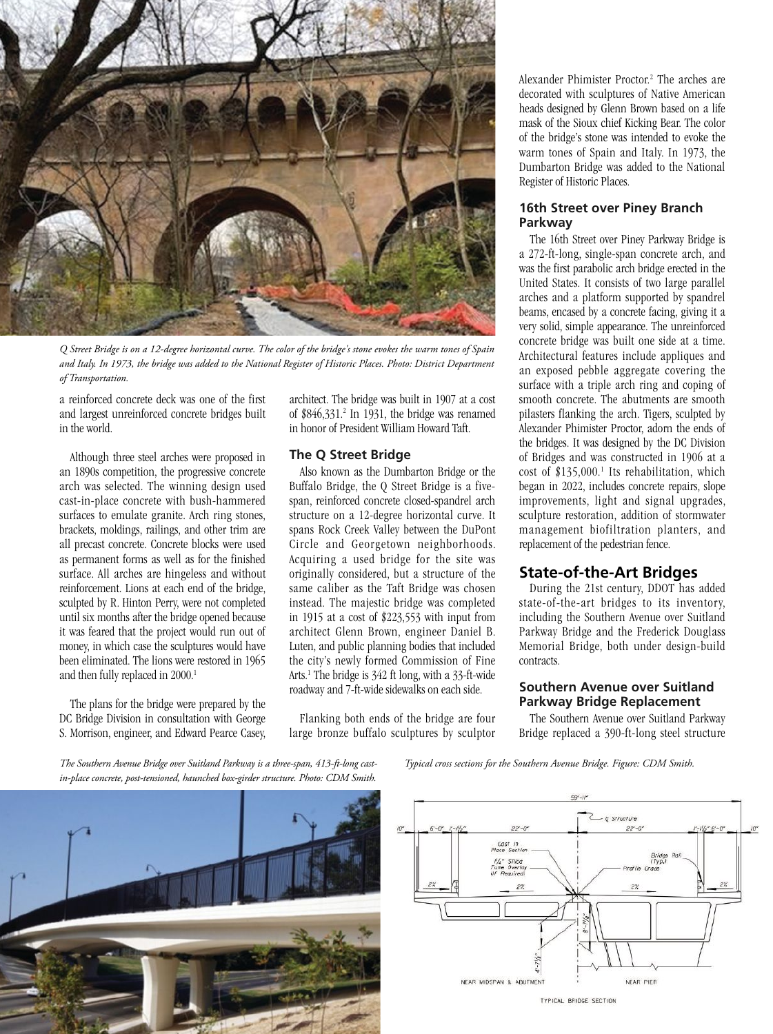

*Q Street Bridge is on a 12-degree horizontal curve. The color of the bridge's stone evokes the warm tones of Spain and Italy. In 1973, the bridge was added to the National Register of Historic Places. Photo: District Department of Transportation.*

a reinforced concrete deck was one of the first and largest unreinforced concrete bridges built in the world.

Although three steel arches were proposed in an 1890s competition, the progressive concrete arch was selected. The winning design used cast-in-place concrete with bush-hammered surfaces to emulate granite. Arch ring stones, brackets, moldings, railings, and other trim are all precast concrete. Concrete blocks were used as permanent forms as well as for the finished surface. All arches are hingeless and without reinforcement. Lions at each end of the bridge, sculpted by R. Hinton Perry, were not completed until six months after the bridge opened because it was feared that the project would run out of money, in which case the sculptures would have been eliminated. The lions were restored in 1965 and then fully replaced in 2000.<sup>1</sup>

The plans for the bridge were prepared by the DC Bridge Division in consultation with George S. Morrison, engineer, and Edward Pearce Casey, architect. The bridge was built in 1907 at a cost of \$846,331.2 In 1931, the bridge was renamed in honor of President William Howard Taft.

#### **The Q Street Bridge**

Also known as the Dumbarton Bridge or the Buffalo Bridge, the Q Street Bridge is a fivespan, reinforced concrete closed-spandrel arch structure on a 12-degree horizontal curve. It spans Rock Creek Valley between the DuPont Circle and Georgetown neighborhoods. Acquiring a used bridge for the site was originally considered, but a structure of the same caliber as the Taft Bridge was chosen instead. The majestic bridge was completed in 1915 at a cost of \$223,553 with input from architect Glenn Brown, engineer Daniel B. Luten, and public planning bodies that included the city's newly formed Commission of Fine Arts.<sup>1</sup> The bridge is 342 ft long, with a 33-ft-wide roadway and 7-ft-wide sidewalks on each side.

Flanking both ends of the bridge are four large bronze buffalo sculptures by sculptor

Alexander Phimister Proctor.<sup>2</sup> The arches are decorated with sculptures of Native American heads designed by Glenn Brown based on a life mask of the Sioux chief Kicking Bear. The color of the bridge's stone was intended to evoke the warm tones of Spain and Italy. In 1973, the Dumbarton Bridge was added to the National Register of Historic Places.

#### **16th Street over Piney Branch Parkway**

The 16th Street over Piney Parkway Bridge is a 272-ft-long, single-span concrete arch, and was the first parabolic arch bridge erected in the United States. It consists of two large parallel arches and a platform supported by spandrel beams, encased by a concrete facing, giving it a very solid, simple appearance. The unreinforced concrete bridge was built one side at a time. Architectural features include appliques and an exposed pebble aggregate covering the surface with a triple arch ring and coping of smooth concrete. The abutments are smooth pilasters flanking the arch. Tigers, sculpted by Alexander Phimister Proctor, adorn the ends of the bridges. It was designed by the DC Division of Bridges and was constructed in 1906 at a cost of \$135,000.<sup>1</sup> Its rehabilitation, which began in 2022, includes concrete repairs, slope improvements, light and signal upgrades, sculpture restoration, addition of stormwater management biofiltration planters, and replacement of the pedestrian fence.

# **State-of-the-Art Bridges**

During the 21st century, DDOT has added state-of-the-art bridges to its inventory, including the Southern Avenue over Suitland Parkway Bridge and the Frederick Douglass Memorial Bridge, both under design-build contracts.

#### **Southern Avenue over Suitland Parkway Bridge Replacement**

The Southern Avenue over Suitland Parkway Bridge replaced a 390-ft-long steel structure

*The Southern Avenue Bridge over Suitland Parkway is a three-span, 413-ft-long castin-place concrete, post-tensioned, haunched box-girder structure. Photo: CDM Smith.*

*Typical cross sections for the Southern Avenue Bridge. Figure: CDM Smith.*